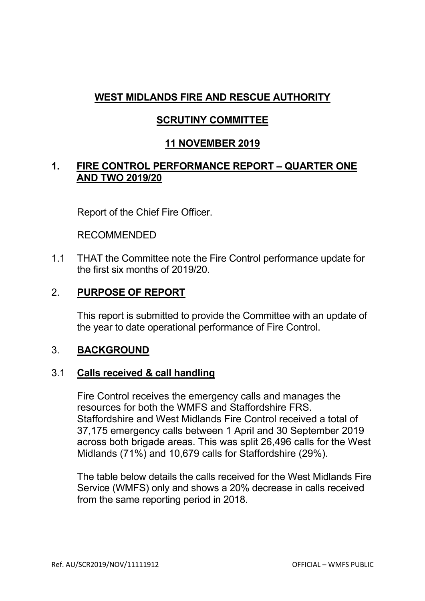# **WEST MIDLANDS FIRE AND RESCUE AUTHORITY**

# **SCRUTINY COMMITTEE**

# **11 NOVEMBER 2019**

# **1. FIRE CONTROL PERFORMANCE REPORT – QUARTER ONE AND TWO 2019/20**

Report of the Chief Fire Officer.

RECOMMENDED

1.1 THAT the Committee note the Fire Control performance update for the first six months of 2019/20.

## 2. **PURPOSE OF REPORT**

 This report is submitted to provide the Committee with an update of the year to date operational performance of Fire Control.

### 3. **BACKGROUND**

### 3.1 **Calls received & call handling**

 Fire Control receives the emergency calls and manages the resources for both the WMFS and Staffordshire FRS. Staffordshire and West Midlands Fire Control received a total of 37,175 emergency calls between 1 April and 30 September 2019 across both brigade areas. This was split 26,496 calls for the West Midlands (71%) and 10,679 calls for Staffordshire (29%).

The table below details the calls received for the West Midlands Fire Service (WMFS) only and shows a 20% decrease in calls received from the same reporting period in 2018.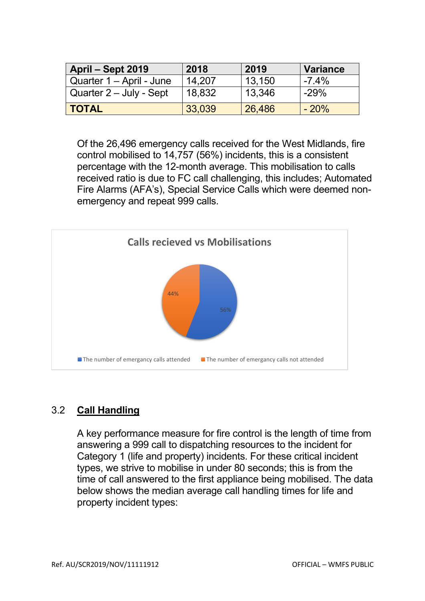| April - Sept 2019        | 2018   | 2019   | <b>Variance</b> |
|--------------------------|--------|--------|-----------------|
| Quarter 1 – April - June | 14.207 | 13,150 | $-7.4\%$        |
| Quarter 2 – July - Sept  | 18,832 | 13,346 | $-29%$          |
| <b>TOTAL</b>             | 33,039 | 26,486 | $-20%$          |

 Of the 26,496 emergency calls received for the West Midlands, fire control mobilised to 14,757 (56%) incidents, this is a consistent percentage with the 12-month average. This mobilisation to calls received ratio is due to FC call challenging, this includes; Automated Fire Alarms (AFA's), Special Service Calls which were deemed nonemergency and repeat 999 calls.



# 3.2 **Call Handling**

 A key performance measure for fire control is the length of time from answering a 999 call to dispatching resources to the incident for Category 1 (life and property) incidents. For these critical incident types, we strive to mobilise in under 80 seconds; this is from the time of call answered to the first appliance being mobilised. The data below shows the median average call handling times for life and property incident types: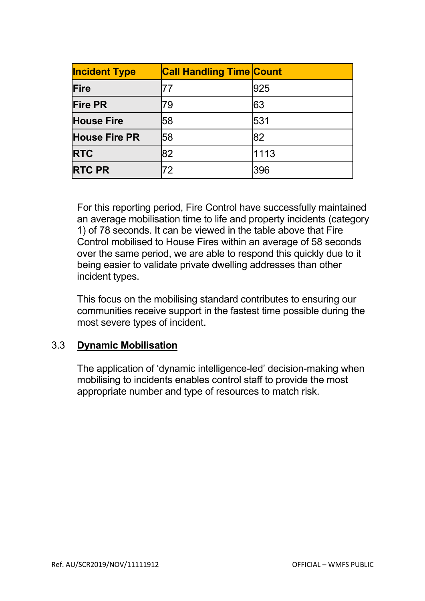| <b>Incident Type</b> | <b>Call Handling Time Count</b> |      |
|----------------------|---------------------------------|------|
| <b>Fire</b>          | 77                              | 925  |
| <b>Fire PR</b>       | 79                              | 63   |
| <b>House Fire</b>    | 58                              | 531  |
| <b>House Fire PR</b> | 58                              | 82   |
| <b>RTC</b>           | 82                              | 1113 |
| <b>IRTC PR</b>       | 72                              | 396  |

 For this reporting period, Fire Control have successfully maintained an average mobilisation time to life and property incidents (category 1) of 78 seconds. It can be viewed in the table above that Fire Control mobilised to House Fires within an average of 58 seconds over the same period, we are able to respond this quickly due to it being easier to validate private dwelling addresses than other incident types.

 This focus on the mobilising standard contributes to ensuring our communities receive support in the fastest time possible during the most severe types of incident.

# 3.3 **Dynamic Mobilisation**

The application of 'dynamic intelligence-led' decision-making when mobilising to incidents enables control staff to provide the most appropriate number and type of resources to match risk.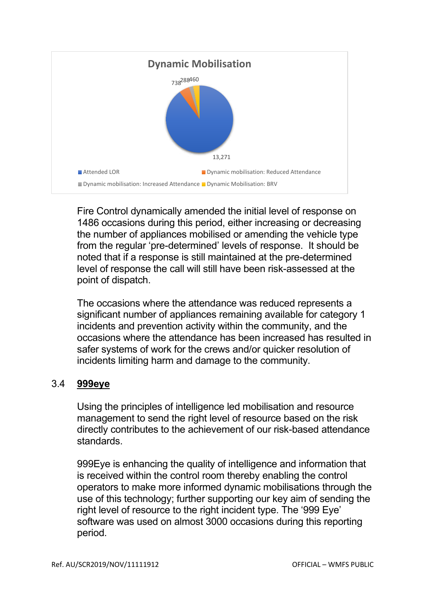

 Fire Control dynamically amended the initial level of response on 1486 occasions during this period, either increasing or decreasing the number of appliances mobilised or amending the vehicle type from the regular 'pre-determined' levels of response. It should be noted that if a response is still maintained at the pre-determined level of response the call will still have been risk-assessed at the point of dispatch.

 The occasions where the attendance was reduced represents a significant number of appliances remaining available for category 1 incidents and prevention activity within the community, and the occasions where the attendance has been increased has resulted in safer systems of work for the crews and/or quicker resolution of incidents limiting harm and damage to the community.

### 3.4 **999eye**

 Using the principles of intelligence led mobilisation and resource management to send the right level of resource based on the risk directly contributes to the achievement of our risk-based attendance standards.

 999Eye is enhancing the quality of intelligence and information that is received within the control room thereby enabling the control operators to make more informed dynamic mobilisations through the use of this technology; further supporting our key aim of sending the right level of resource to the right incident type. The '999 Eye' software was used on almost 3000 occasions during this reporting period.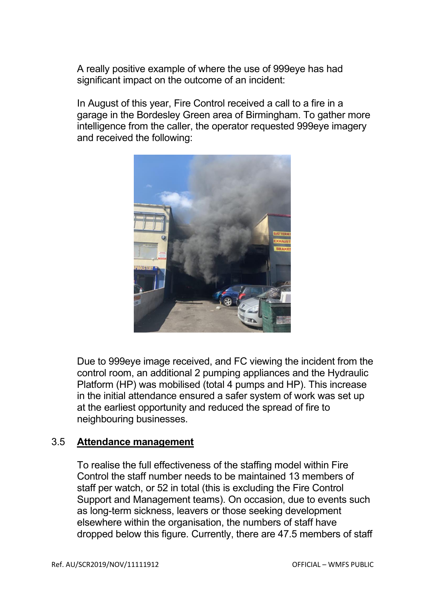A really positive example of where the use of 999eye has had significant impact on the outcome of an incident:

 In August of this year, Fire Control received a call to a fire in a garage in the Bordesley Green area of Birmingham. To gather more intelligence from the caller, the operator requested 999eye imagery and received the following:



 Due to 999eye image received, and FC viewing the incident from the control room, an additional 2 pumping appliances and the Hydraulic Platform (HP) was mobilised (total 4 pumps and HP). This increase in the initial attendance ensured a safer system of work was set up at the earliest opportunity and reduced the spread of fire to neighbouring businesses.

### 3.5 **Attendance management**

 To realise the full effectiveness of the staffing model within Fire Control the staff number needs to be maintained 13 members of staff per watch, or 52 in total (this is excluding the Fire Control Support and Management teams). On occasion, due to events such as long-term sickness, leavers or those seeking development elsewhere within the organisation, the numbers of staff have dropped below this figure. Currently, there are 47.5 members of staff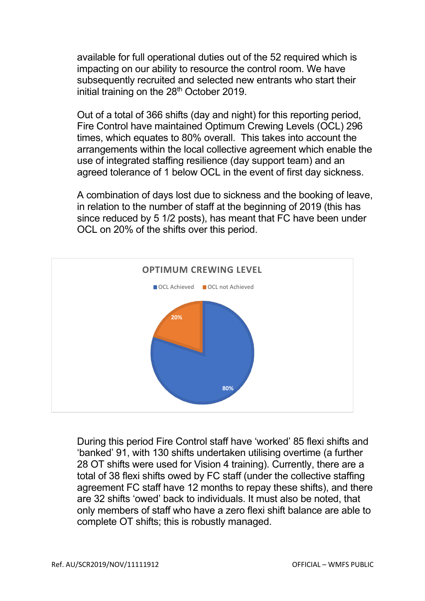available for full operational duties out of the 52 required which is impacting on our ability to resource the control room. We have subsequently recruited and selected new entrants who start their initial training on the 28<sup>th</sup> October 2019.

 Out of a total of 366 shifts (day and night) for this reporting period, Fire Control have maintained Optimum Crewing Levels (OCL) 296 times, which equates to 80% overall. This takes into account the arrangements within the local collective agreement which enable the use of integrated staffing resilience (day support team) and an agreed tolerance of 1 below OCL in the event of first day sickness.

 A combination of days lost due to sickness and the booking of leave, in relation to the number of staff at the beginning of 2019 (this has since reduced by 5 1/2 posts), has meant that FC have been under OCL on 20% of the shifts over this period.



During this period Fire Control staff have 'worked' 85 flexi shifts and 'banked' 91, with 130 shifts undertaken utilising overtime (a further 28 OT shifts were used for Vision 4 training). Currently, there are a total of 38 flexi shifts owed by FC staff (under the collective staffing agreement FC staff have 12 months to repay these shifts), and there are 32 shifts 'owed' back to individuals. It must also be noted, that only members of staff who have a zero flexi shift balance are able to complete OT shifts; this is robustly managed.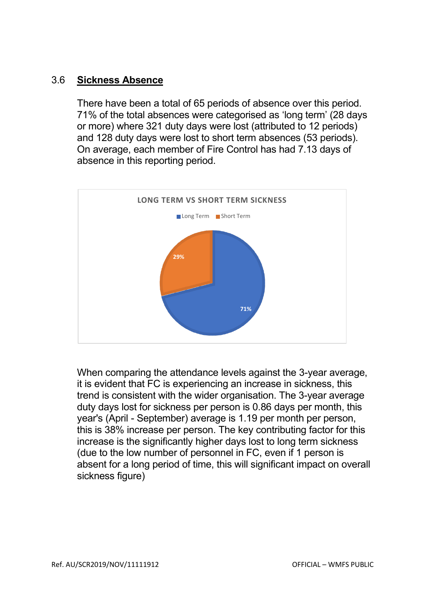# 3.6 **Sickness Absence**

 There have been a total of 65 periods of absence over this period. 71% of the total absences were categorised as 'long term' (28 days or more) where 321 duty days were lost (attributed to 12 periods) and 128 duty days were lost to short term absences (53 periods). On average, each member of Fire Control has had 7.13 days of absence in this reporting period.



When comparing the attendance levels against the 3-year average. it is evident that FC is experiencing an increase in sickness, this trend is consistent with the wider organisation. The 3-year average duty days lost for sickness per person is 0.86 days per month, this year's (April - September) average is 1.19 per month per person, this is 38% increase per person. The key contributing factor for this increase is the significantly higher days lost to long term sickness (due to the low number of personnel in FC, even if 1 person is absent for a long period of time, this will significant impact on overall sickness figure)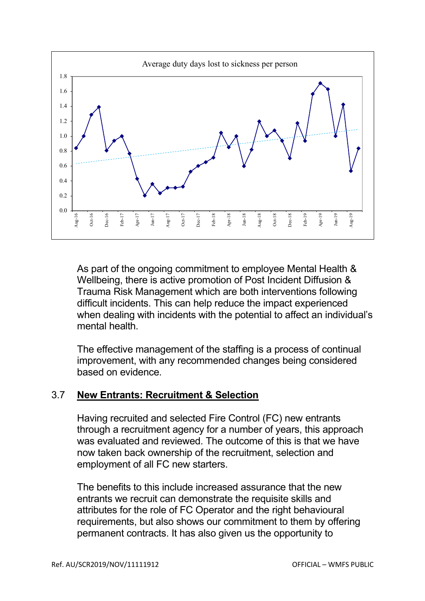

 As part of the ongoing commitment to employee Mental Health & Wellbeing, there is active promotion of Post Incident Diffusion & Trauma Risk Management which are both interventions following difficult incidents. This can help reduce the impact experienced when dealing with incidents with the potential to affect an individual's mental health.

 The effective management of the staffing is a process of continual improvement, with any recommended changes being considered based on evidence.

### 3.7 **New Entrants: Recruitment & Selection**

 Having recruited and selected Fire Control (FC) new entrants through a recruitment agency for a number of years, this approach was evaluated and reviewed. The outcome of this is that we have now taken back ownership of the recruitment, selection and employment of all FC new starters.

 The benefits to this include increased assurance that the new entrants we recruit can demonstrate the requisite skills and attributes for the role of FC Operator and the right behavioural requirements, but also shows our commitment to them by offering permanent contracts. It has also given us the opportunity to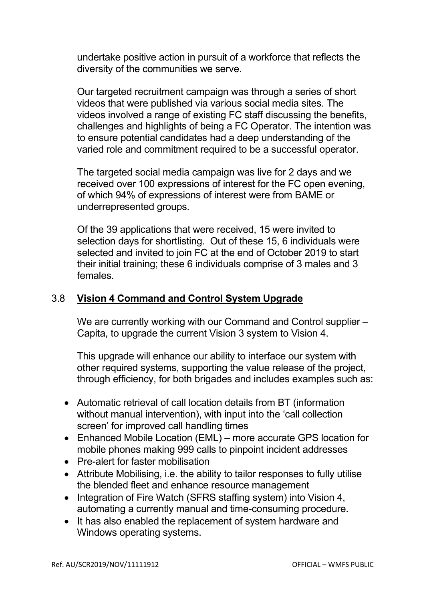undertake positive action in pursuit of a workforce that reflects the diversity of the communities we serve.

Our targeted recruitment campaign was through a series of short videos that were published via various social media sites. The videos involved a range of existing FC staff discussing the benefits, challenges and highlights of being a FC Operator. The intention was to ensure potential candidates had a deep understanding of the varied role and commitment required to be a successful operator.

 The targeted social media campaign was live for 2 days and we received over 100 expressions of interest for the FC open evening, of which 94% of expressions of interest were from BAME or underrepresented groups.

 Of the 39 applications that were received, 15 were invited to selection days for shortlisting. Out of these 15, 6 individuals were selected and invited to join FC at the end of October 2019 to start their initial training; these 6 individuals comprise of 3 males and 3 females.

## 3.8 **Vision 4 Command and Control System Upgrade**

We are currently working with our Command and Control supplier – Capita, to upgrade the current Vision 3 system to Vision 4.

 This upgrade will enhance our ability to interface our system with other required systems, supporting the value release of the project, through efficiency, for both brigades and includes examples such as:

- Automatic retrieval of call location details from BT (information without manual intervention), with input into the 'call collection screen' for improved call handling times
- Enhanced Mobile Location (EML) more accurate GPS location for mobile phones making 999 calls to pinpoint incident addresses
- Pre-alert for faster mobilisation
- Attribute Mobilising, i.e. the ability to tailor responses to fully utilise the blended fleet and enhance resource management
- Integration of Fire Watch (SFRS staffing system) into Vision 4, automating a currently manual and time-consuming procedure.
- It has also enabled the replacement of system hardware and Windows operating systems.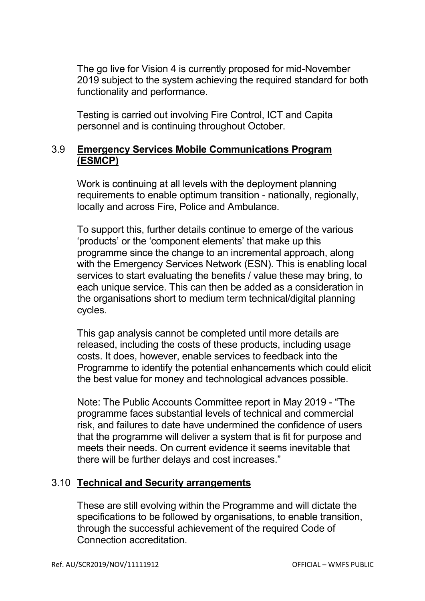The go live for Vision 4 is currently proposed for mid-November 2019 subject to the system achieving the required standard for both functionality and performance.

 Testing is carried out involving Fire Control, ICT and Capita personnel and is continuing throughout October.

# 3.9 **Emergency Services Mobile Communications Program (ESMCP)**

 Work is continuing at all levels with the deployment planning requirements to enable optimum transition - nationally, regionally, locally and across Fire, Police and Ambulance.

 To support this, further details continue to emerge of the various 'products' or the 'component elements' that make up this programme since the change to an incremental approach, along with the Emergency Services Network (ESN). This is enabling local services to start evaluating the benefits / value these may bring, to each unique service. This can then be added as a consideration in the organisations short to medium term technical/digital planning cycles.

 This gap analysis cannot be completed until more details are released, including the costs of these products, including usage costs. It does, however, enable services to feedback into the Programme to identify the potential enhancements which could elicit the best value for money and technological advances possible.

Note: The Public Accounts Committee report in May 2019 - "The programme faces substantial levels of technical and commercial risk, and failures to date have undermined the confidence of users that the programme will deliver a system that is fit for purpose and meets their needs. On current evidence it seems inevitable that there will be further delays and cost increases."

# 3.10 **Technical and Security arrangements**

 These are still evolving within the Programme and will dictate the specifications to be followed by organisations, to enable transition, through the successful achievement of the required Code of Connection accreditation.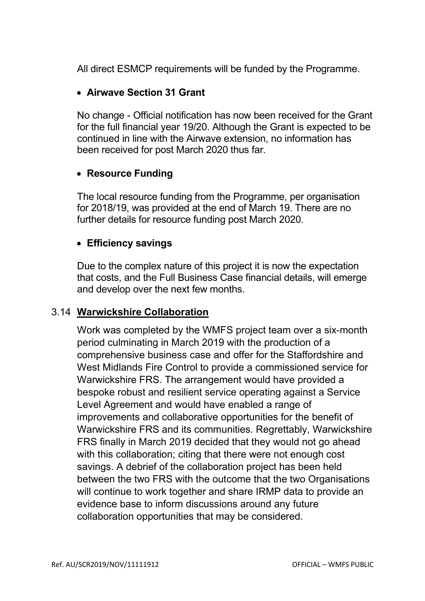All direct ESMCP requirements will be funded by the Programme.

# • **Airwave Section 31 Grant**

 No change - Official notification has now been received for the Grant for the full financial year 19/20. Although the Grant is expected to be continued in line with the Airwave extension, no information has been received for post March 2020 thus far.

# • **Resource Funding**

 The local resource funding from the Programme, per organisation for 2018/19, was provided at the end of March 19. There are no further details for resource funding post March 2020.

# • **Efficiency savings**

 Due to the complex nature of this project it is now the expectation that costs, and the Full Business Case financial details, will emerge and develop over the next few months.

# 3.14 **Warwickshire Collaboration**

Work was completed by the WMFS project team over a six-month period culminating in March 2019 with the production of a comprehensive business case and offer for the Staffordshire and West Midlands Fire Control to provide a commissioned service for Warwickshire FRS. The arrangement would have provided a bespoke robust and resilient service operating against a Service Level Agreement and would have enabled a range of improvements and collaborative opportunities for the benefit of Warwickshire FRS and its communities. Regrettably, Warwickshire FRS finally in March 2019 decided that they would not go ahead with this collaboration; citing that there were not enough cost savings. A debrief of the collaboration project has been held between the two FRS with the outcome that the two Organisations will continue to work together and share IRMP data to provide an evidence base to inform discussions around any future collaboration opportunities that may be considered.